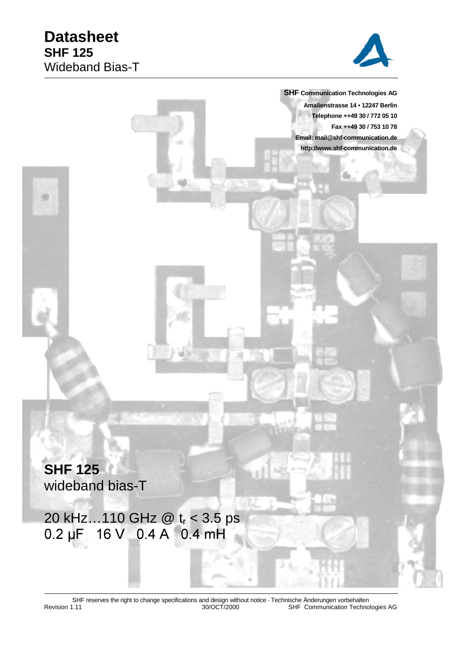

 **SHF Communication Technologies AG Amalienstrasse 14 • 12247 Berlin Telephone ++49 30 / 772 05 10 Fax ++49 30 / 753 10 78 Email: mail@shf-communication.de http://www.shf-communication.de**

**SHF 125** wideband bias-T

20 kHz...110 GHz @ t<sub>r</sub> < 3.5 ps  $0.2 \,\mu$ F 16 V 0.4 A 0.4 mH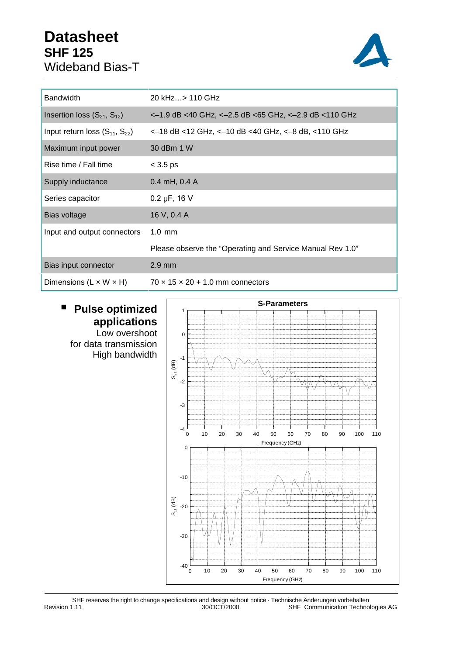

| <b>Bandwidth</b>                     | 20 kHz> 110 GHz                                           |
|--------------------------------------|-----------------------------------------------------------|
| Insertion loss $(S_{21}, S_{12})$    | <-1.9 dB <40 GHz, <-2.5 dB <65 GHz, <-2.9 dB <110 GHz     |
| Input return loss $(S_{11}, S_{22})$ | <-18 dB <12 GHz, <-10 dB <40 GHz, <-8 dB, <110 GHz        |
| Maximum input power                  | 30 dBm 1 W                                                |
| Rise time / Fall time                | $<$ 3.5 ps                                                |
| Supply inductance                    | $0.4$ mH, $0.4$ A                                         |
| Series capacitor                     | $0.2 \mu F$ , 16 V                                        |
| Bias voltage                         | 16 V, 0.4 A                                               |
| Input and output connectors          | $1.0 \text{ mm}$                                          |
|                                      | Please observe the "Operating and Service Manual Rev 1.0" |
| Bias input connector                 | $2.9$ mm                                                  |
| Dimensions $(L \times W \times H)$   | $70 \times 15 \times 20 + 1.0$ mm connectors              |

## **Pulse optimized applications** Low overshoot

for data transmission High bandwidth



SHF reserves the right to change specifications and design without notice · Technische Änderungen vorbehalten Revision 1.11 30/OCT/2000 SHF Communication Technologies AG